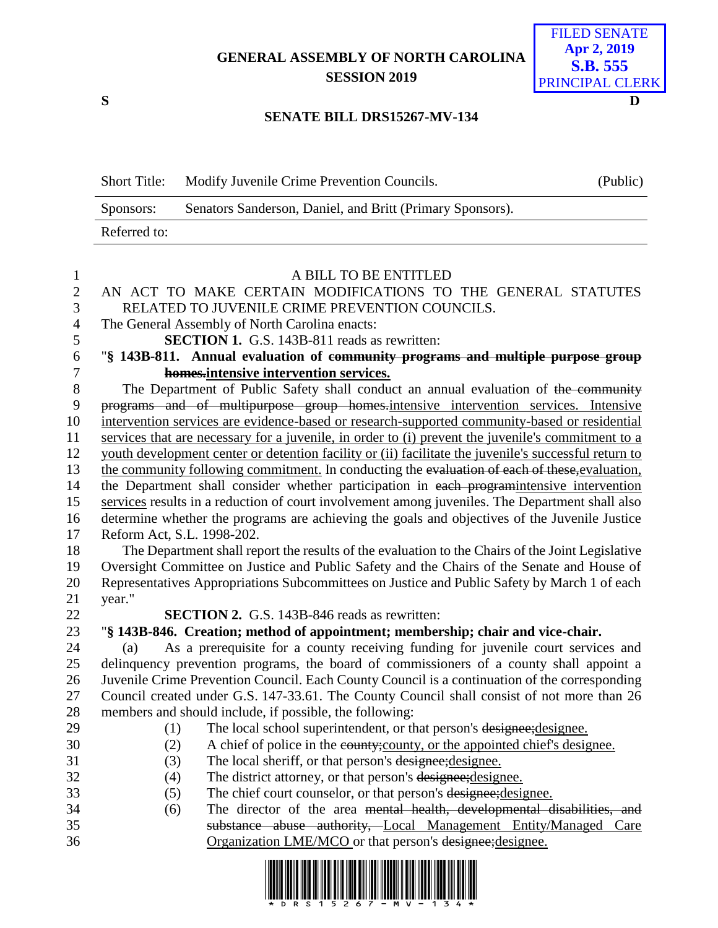## **GENERAL ASSEMBLY OF NORTH CAROLINA SESSION 2019**



## **SENATE BILL DRS15267-MV-134**

| <b>Short Title:</b> | Modify Juvenile Crime Prevention Councils.                | (Public) |
|---------------------|-----------------------------------------------------------|----------|
| Sponsors:           | Senators Sanderson, Daniel, and Britt (Primary Sponsors). |          |
| Referred to:        |                                                           |          |

| $\mathbf{1}$   | A BILL TO BE ENTITLED                                                                                                                                    |
|----------------|----------------------------------------------------------------------------------------------------------------------------------------------------------|
| $\sqrt{2}$     | AN ACT TO MAKE CERTAIN MODIFICATIONS TO THE GENERAL STATUTES                                                                                             |
| 3              | RELATED TO JUVENILE CRIME PREVENTION COUNCILS.                                                                                                           |
| $\overline{4}$ | The General Assembly of North Carolina enacts:                                                                                                           |
| 5              | <b>SECTION 1.</b> G.S. 143B-811 reads as rewritten:                                                                                                      |
| 6              | "§ 143B-811. Annual evaluation of community programs and multiple purpose group                                                                          |
| $\tau$         | homes.intensive intervention services.                                                                                                                   |
| $8\,$          | The Department of Public Safety shall conduct an annual evaluation of the community                                                                      |
| 9              | programs and of multipurpose group homes intensive intervention services. Intensive                                                                      |
| 10             | intervention services are evidence-based or research-supported community-based or residential                                                            |
| 11             | services that are necessary for a juvenile, in order to (i) prevent the juvenile's commitment to a                                                       |
| 12             | youth development center or detention facility or (ii) facilitate the juvenile's successful return to                                                    |
| 13             | the community following commitment. In conducting the evaluation of each of these, evaluation,                                                           |
| 14             | the Department shall consider whether participation in each programintensive intervention                                                                |
| 15             | services results in a reduction of court involvement among juveniles. The Department shall also                                                          |
| 16             | determine whether the programs are achieving the goals and objectives of the Juvenile Justice                                                            |
| 17             | Reform Act, S.L. 1998-202.                                                                                                                               |
| 18             | The Department shall report the results of the evaluation to the Chairs of the Joint Legislative                                                         |
| 19             | Oversight Committee on Justice and Public Safety and the Chairs of the Senate and House of                                                               |
| 20             | Representatives Appropriations Subcommittees on Justice and Public Safety by March 1 of each                                                             |
| 21             | year."                                                                                                                                                   |
| 22             | <b>SECTION 2.</b> G.S. 143B-846 reads as rewritten:                                                                                                      |
| 23             | "§ 143B-846. Creation; method of appointment; membership; chair and vice-chair.                                                                          |
| 24             | As a prerequisite for a county receiving funding for juvenile court services and<br>(a)                                                                  |
| 25             | delinquency prevention programs, the board of commissioners of a county shall appoint a                                                                  |
| 26             | Juvenile Crime Prevention Council. Each County Council is a continuation of the corresponding                                                            |
| 27             | Council created under G.S. 147-33.61. The County Council shall consist of not more than 26                                                               |
| 28             | members and should include, if possible, the following:                                                                                                  |
| 29             | The local school superintendent, or that person's designee; designee.<br>(1)                                                                             |
| 30             | (2)<br>A chief of police in the eounty; county, or the appointed chief's designee.                                                                       |
| 31<br>32       | The local sheriff, or that person's designee; designee.<br>(3)                                                                                           |
|                | The district attorney, or that person's designee; designee.<br>(4)                                                                                       |
| 33<br>34       | The chief court counselor, or that person's designee; designee.<br>(5)<br>The director of the area mental health, developmental disabilities, and<br>(6) |
| 35             | substance abuse authority, Local Management Entity/Managed Care                                                                                          |
| 36             | Organization LME/MCO or that person's designee; designee.                                                                                                |
|                |                                                                                                                                                          |
|                |                                                                                                                                                          |

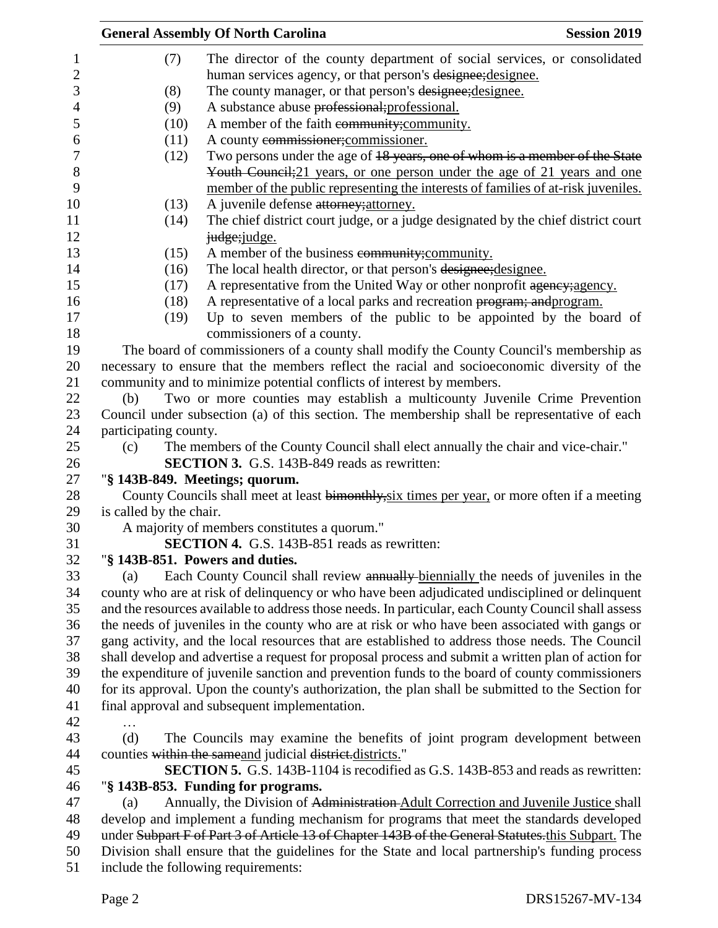|                         | <b>General Assembly Of North Carolina</b>                                                           | <b>Session 2019</b> |
|-------------------------|-----------------------------------------------------------------------------------------------------|---------------------|
| (7)                     | The director of the county department of social services, or consolidated                           |                     |
|                         | human services agency, or that person's designee; designee.                                         |                     |
| (8)                     | The county manager, or that person's designee; designee.                                            |                     |
| (9)                     | A substance abuse professional; professional.                                                       |                     |
| (10)                    | A member of the faith community; community.                                                         |                     |
| (11)                    | A county commissioner; commissioner.                                                                |                     |
| (12)                    | Two persons under the age of 18 years, one of whom is a member of the State                         |                     |
|                         | Youth Council; 21 years, or one person under the age of 21 years and one                            |                     |
|                         | member of the public representing the interests of families of at-risk juveniles.                   |                     |
| (13)                    | A juvenile defense attorney; attorney.                                                              |                     |
| (14)                    | The chief district court judge, or a judge designated by the chief district court                   |                     |
|                         | judge; judge.                                                                                       |                     |
|                         |                                                                                                     |                     |
| (15)                    | A member of the business community; community.                                                      |                     |
| (16)                    | The local health director, or that person's designee; designee.                                     |                     |
| (17)                    | A representative from the United Way or other nonprofit agency; agency.                             |                     |
| (18)                    | A representative of a local parks and recreation program; and program.                              |                     |
| (19)                    | Up to seven members of the public to be appointed by the board of                                   |                     |
|                         | commissioners of a county.                                                                          |                     |
|                         | The board of commissioners of a county shall modify the County Council's membership as              |                     |
|                         | necessary to ensure that the members reflect the racial and socioeconomic diversity of the          |                     |
|                         | community and to minimize potential conflicts of interest by members.                               |                     |
| (b)                     | Two or more counties may establish a multicounty Juvenile Crime Prevention                          |                     |
|                         | Council under subsection (a) of this section. The membership shall be representative of each        |                     |
| participating county.   |                                                                                                     |                     |
| (c)                     | The members of the County Council shall elect annually the chair and vice-chair."                   |                     |
|                         | <b>SECTION 3.</b> G.S. 143B-849 reads as rewritten:                                                 |                     |
|                         | "§ 143B-849. Meetings; quorum.                                                                      |                     |
|                         | County Councils shall meet at least bimonthly, six times per year, or more often if a meeting       |                     |
| is called by the chair. |                                                                                                     |                     |
|                         | A majority of members constitutes a quorum."                                                        |                     |
|                         | SECTION 4. G.S. 143B-851 reads as rewritten:                                                        |                     |
|                         | "§ 143B-851. Powers and duties.                                                                     |                     |
| (a)                     | Each County Council shall review annually biennially the needs of juveniles in the                  |                     |
|                         | county who are at risk of delinquency or who have been adjudicated undisciplined or delinquent      |                     |
|                         | and the resources available to address those needs. In particular, each County Council shall assess |                     |
|                         | the needs of juveniles in the county who are at risk or who have been associated with gangs or      |                     |
|                         | gang activity, and the local resources that are established to address those needs. The Council     |                     |
|                         | shall develop and advertise a request for proposal process and submit a written plan of action for  |                     |
|                         | the expenditure of juvenile sanction and prevention funds to the board of county commissioners      |                     |
|                         | for its approval. Upon the county's authorization, the plan shall be submitted to the Section for   |                     |
|                         | final approval and subsequent implementation.                                                       |                     |
|                         |                                                                                                     |                     |
| (d)                     | The Councils may examine the benefits of joint program development between                          |                     |
|                         | counties within the same and judicial district.districts."                                          |                     |
|                         | <b>SECTION 5.</b> G.S. 143B-1104 is recodified as G.S. 143B-853 and reads as rewritten:             |                     |
|                         | "§ 143B-853. Funding for programs.                                                                  |                     |
| (a)                     | Annually, the Division of Administration Adult Correction and Juvenile Justice shall                |                     |
|                         | develop and implement a funding mechanism for programs that meet the standards developed            |                     |
|                         | under Subpart F of Part 3 of Article 13 of Chapter 143B of the General Statutes.this Subpart. The   |                     |
|                         | Division shall ensure that the guidelines for the State and local partnership's funding process     |                     |
|                         | include the following requirements:                                                                 |                     |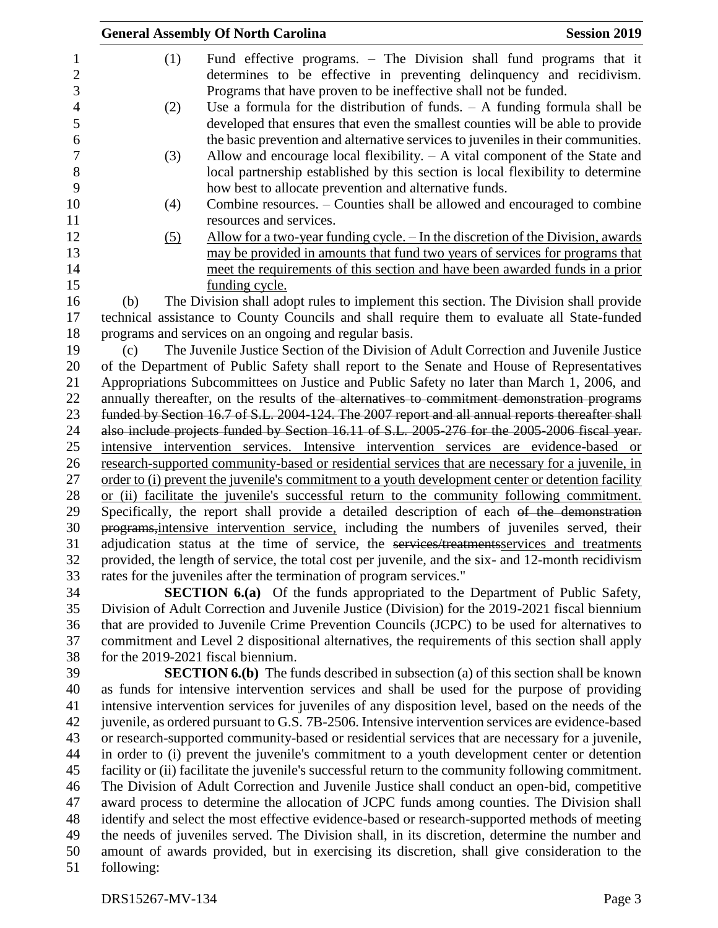|                                       |            | <b>General Assembly Of North Carolina</b>                                                                                                                                                                                                                                | <b>Session 2019</b> |
|---------------------------------------|------------|--------------------------------------------------------------------------------------------------------------------------------------------------------------------------------------------------------------------------------------------------------------------------|---------------------|
| 1<br>$\overline{2}$<br>$\mathfrak{Z}$ | (1)        | Fund effective programs. – The Division shall fund programs that it<br>determines to be effective in preventing delinquency and recidivism.<br>Programs that have proven to be ineffective shall not be funded.                                                          |                     |
| $\overline{4}$<br>5<br>6              | (2)        | Use a formula for the distribution of funds. $- A$ funding formula shall be<br>developed that ensures that even the smallest counties will be able to provide<br>the basic prevention and alternative services to juveniles in their communities.                        |                     |
| 7<br>8<br>9                           | (3)        | Allow and encourage local flexibility. $- A$ vital component of the State and<br>local partnership established by this section is local flexibility to determine<br>how best to allocate prevention and alternative funds.                                               |                     |
| 10<br>11                              | (4)        | Combine resources. – Counties shall be allowed and encouraged to combine<br>resources and services.                                                                                                                                                                      |                     |
| 12<br>13<br>14<br>15                  | (5)        | <u>Allow for a two-year funding cycle. – In the discretion of the Division, awards</u><br>may be provided in amounts that fund two years of services for programs that<br>meet the requirements of this section and have been awarded funds in a prior<br>funding cycle. |                     |
| 16                                    | (b)        | The Division shall adopt rules to implement this section. The Division shall provide                                                                                                                                                                                     |                     |
| 17                                    |            | technical assistance to County Councils and shall require them to evaluate all State-funded                                                                                                                                                                              |                     |
| 18                                    |            | programs and services on an ongoing and regular basis.                                                                                                                                                                                                                   |                     |
| 19                                    | (c)        | The Juvenile Justice Section of the Division of Adult Correction and Juvenile Justice                                                                                                                                                                                    |                     |
| 20                                    |            | of the Department of Public Safety shall report to the Senate and House of Representatives                                                                                                                                                                               |                     |
| 21                                    |            | Appropriations Subcommittees on Justice and Public Safety no later than March 1, 2006, and                                                                                                                                                                               |                     |
| 22                                    |            | annually thereafter, on the results of the alternatives to commitment demonstration programs                                                                                                                                                                             |                     |
| 23                                    |            | funded by Section 16.7 of S.L. 2004-124. The 2007 report and all annual reports thereafter shall                                                                                                                                                                         |                     |
| 24                                    |            | also include projects funded by Section 16.11 of S.L. 2005-276 for the 2005-2006 fiscal year.                                                                                                                                                                            |                     |
| 25                                    |            | intensive intervention services. Intensive intervention services are evidence-based or                                                                                                                                                                                   |                     |
| 26                                    |            | research-supported community-based or residential services that are necessary for a juvenile, in                                                                                                                                                                         |                     |
| 27<br>28                              |            | order to (i) prevent the juvenile's commitment to a youth development center or detention facility<br>or (ii) facilitate the juvenile's successful return to the community following commitment.                                                                         |                     |
| 29                                    |            | Specifically, the report shall provide a detailed description of each of the demonstration                                                                                                                                                                               |                     |
| 30                                    |            | programs, intensive intervention service, including the numbers of juveniles served, their                                                                                                                                                                               |                     |
| 31                                    |            | adjudication status at the time of service, the services/treatments services and treatments                                                                                                                                                                              |                     |
| 32<br>33                              |            | provided, the length of service, the total cost per juvenile, and the six- and 12-month recidivism<br>rates for the juveniles after the termination of program services."                                                                                                |                     |
| 34                                    |            | <b>SECTION 6.(a)</b> Of the funds appropriated to the Department of Public Safety,                                                                                                                                                                                       |                     |
| 35                                    |            | Division of Adult Correction and Juvenile Justice (Division) for the 2019-2021 fiscal biennium                                                                                                                                                                           |                     |
| 36                                    |            | that are provided to Juvenile Crime Prevention Councils (JCPC) to be used for alternatives to                                                                                                                                                                            |                     |
| 37                                    |            | commitment and Level 2 dispositional alternatives, the requirements of this section shall apply                                                                                                                                                                          |                     |
| 38                                    |            | for the 2019-2021 fiscal biennium.                                                                                                                                                                                                                                       |                     |
| 39                                    |            | <b>SECTION 6.(b)</b> The funds described in subsection (a) of this section shall be known                                                                                                                                                                                |                     |
| 40                                    |            | as funds for intensive intervention services and shall be used for the purpose of providing<br>intensive intervention services for juveniles of any disposition level, based on the needs of the                                                                         |                     |
| 41<br>42                              |            | juvenile, as ordered pursuant to G.S. 7B-2506. Intensive intervention services are evidence-based                                                                                                                                                                        |                     |
| 43                                    |            | or research-supported community-based or residential services that are necessary for a juvenile,                                                                                                                                                                         |                     |
| 44                                    |            | in order to (i) prevent the juvenile's commitment to a youth development center or detention                                                                                                                                                                             |                     |
| 45                                    |            | facility or (ii) facilitate the juvenile's successful return to the community following commitment.                                                                                                                                                                      |                     |
| 46                                    |            | The Division of Adult Correction and Juvenile Justice shall conduct an open-bid, competitive                                                                                                                                                                             |                     |
| 47                                    |            | award process to determine the allocation of JCPC funds among counties. The Division shall                                                                                                                                                                               |                     |
| 48                                    |            | identify and select the most effective evidence-based or research-supported methods of meeting                                                                                                                                                                           |                     |
| 49                                    |            | the needs of juveniles served. The Division shall, in its discretion, determine the number and                                                                                                                                                                           |                     |
| 50                                    |            | amount of awards provided, but in exercising its discretion, shall give consideration to the                                                                                                                                                                             |                     |
| 51                                    | following: |                                                                                                                                                                                                                                                                          |                     |